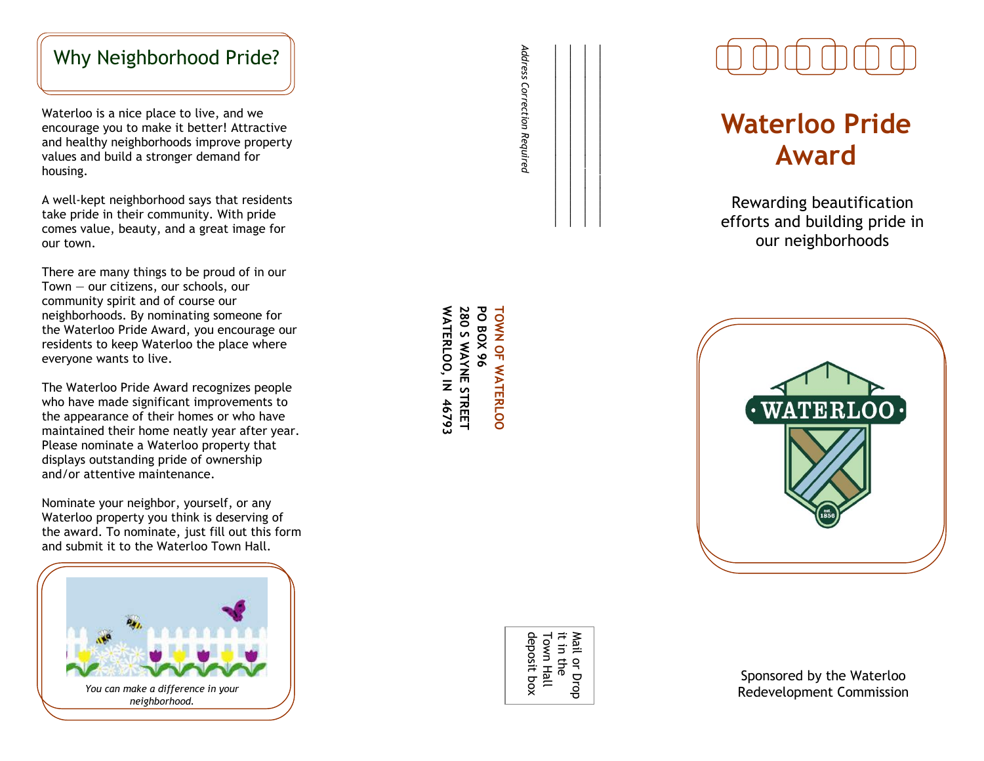## Why Neighborhood Pride?

Waterloo is a nice place to live , and we encourage you to make it better! Attractive and healthy neighborhoods improve property values and build a stronger demand for housing.

A well -kept neighborhood says that residents take pride in their community. With pride comes value, beauty , and a great image for our town.

There are many things to be proud of in our Town — our citizens, our schools, our community spirit and of course our neighborhoods. By nominating someone for the Waterloo Pride Award, you encourage our residents to keep Waterloo the place where everyone wants to live.

The Waterloo Pride Award recognizes people who have made significant improvements to the appearance of their homes or who have maintained their home neatly year after year. Please nominate a Waterloo property that displays outstanding pride of ownership and/or attentive maintenance.

Nominate your neighbor, yourself, or any Waterloo property you think is deserving of the award. To nominate, just fill out this form and submit it to the Waterloo Town Hall.



**WATERLOO, IN 46793 PO BOX 96 TOWN OF WATERLOO WATERLOO, IN 46793 280 S PO BOX 96 TOWN OF WATERLOO WAYNE STREET**

# **Waterloo Pride Award**

Rewarding beautification efforts and building pride in our neighborhoods



Sponsored by the Waterloo